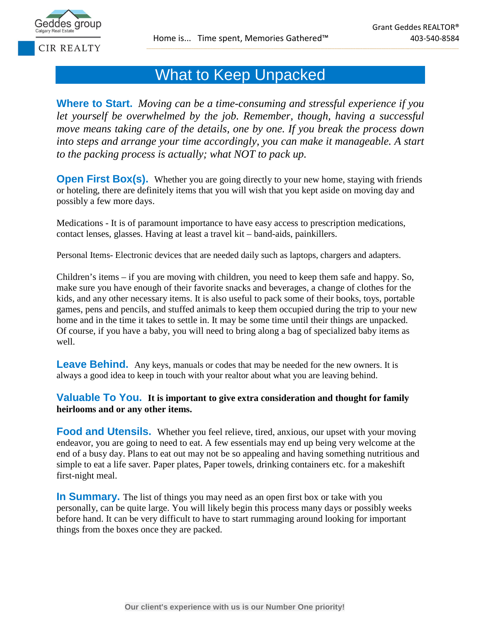

## What to Keep Unpacked

**Where to Start.** *Moving can be a time-consuming and stressful experience if you let yourself be overwhelmed by the job. Remember, though, having a successful move means taking care of the details, one by one. If you break the process down into steps and arrange your time accordingly, you can make it manageable. A start to the packing process is actually; what NOT to pack up.* 

**Open First Box(s).** Whether you are going directly to your new home, staying with friends or hoteling, there are definitely items that you will wish that you kept aside on moving day and possibly a few more days.

Medications - It is of paramount importance to have easy access to prescription medications, contact lenses, glasses. Having at least a travel kit – band-aids, painkillers.

Personal Items- Electronic devices that are needed daily such as laptops, chargers and adapters.

Children's items – if you are moving with children, you need to keep them safe and happy. So, make sure you have enough of their favorite snacks and beverages, a change of clothes for the kids, and any other necessary items. It is also useful to pack some of their books, toys, portable games, pens and pencils, and stuffed animals to keep them occupied during the trip to your new home and in the time it takes to settle in. It may be some time until their things are unpacked. Of course, if you have a baby, you will need to bring along a bag of specialized baby items as well.

**Leave Behind.** Any keys, manuals or codes that may be needed for the new owners. It is always a good idea to keep in touch with your realtor about what you are leaving behind.

## **Valuable To You. It is important to give extra consideration and thought for family heirlooms and or any other items.**

**Food and Utensils.** Whether you feel relieve, tired, anxious, our upset with your moving endeavor, you are going to need to eat. A few essentials may end up being very welcome at the end of a busy day. Plans to eat out may not be so appealing and having something nutritious and simple to eat a life saver. Paper plates, Paper towels, drinking containers etc. for a makeshift first-night meal.

**In Summary.** The list of things you may need as an open first box or take with you personally, can be quite large. You will likely begin this process many days or possibly weeks before hand. It can be very difficult to have to start rummaging around looking for important things from the boxes once they are packed.